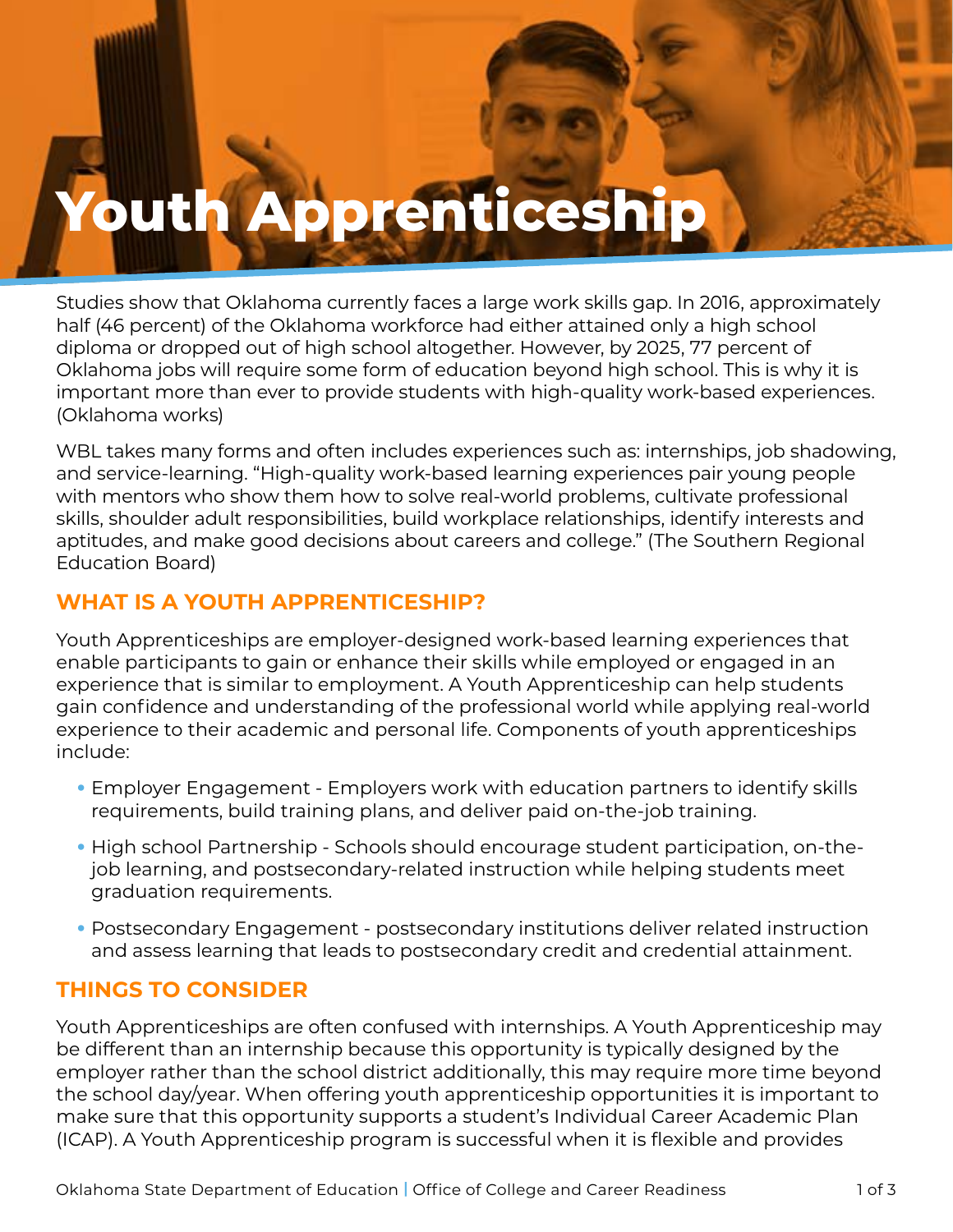# **Youth Apprenticeship**

Studies show that Oklahoma currently faces a large work skills gap. In 2016, approximately half (46 percent) of the Oklahoma workforce had either attained only a high school diploma or dropped out of high school altogether. However, by 2025, 77 percent of Oklahoma jobs will require some form of education beyond high school. This is why it is important more than ever to provide students with high-quality work-based experiences. (Oklahoma works)

WBL takes many forms and often includes experiences such as: internships, job shadowing, and service-learning. "High-quality work-based learning experiences pair young people with mentors who show them how to solve real-world problems, cultivate professional skills, shoulder adult responsibilities, build workplace relationships, identify interests and aptitudes, and make good decisions about careers and college." (The Southern Regional Education Board)

### **WHAT IS A YOUTH APPRENTICESHIP?**

**Youth Approximately, Approximately, Approximately, Approximately, Approximately, Approximately, Approximately, Approximately, Approximately, Approximately, Approximately, Approximately, Approximately, Approximately, Appro** 

Youth Apprenticeships are employer-designed work-based learning experiences that enable participants to gain or enhance their skills while employed or engaged in an experience that is similar to employment. A Youth Apprenticeship can help students gain confidence and understanding of the professional world while applying real-world experience to their academic and personal life. Components of youth apprenticeships include:

- Employer Engagement Employers work with education partners to identify skills requirements, build training plans, and deliver paid on-the-job training.
- High school Partnership Schools should encourage student participation, on-thejob learning, and postsecondary-related instruction while helping students meet graduation requirements.
- Postsecondary Engagement postsecondary institutions deliver related instruction and assess learning that leads to postsecondary credit and credential attainment.

#### **THINGS TO CONSIDER**

Youth Apprenticeships are often confused with internships. A Youth Apprenticeship may be different than an internship because this opportunity is typically designed by the employer rather than the school district additionally, this may require more time beyond the school day/year. When offering youth apprenticeship opportunities it is important to make sure that this opportunity supports a student's Individual Career Academic Plan (ICAP). A Youth Apprenticeship program is successful when it is flexible and provides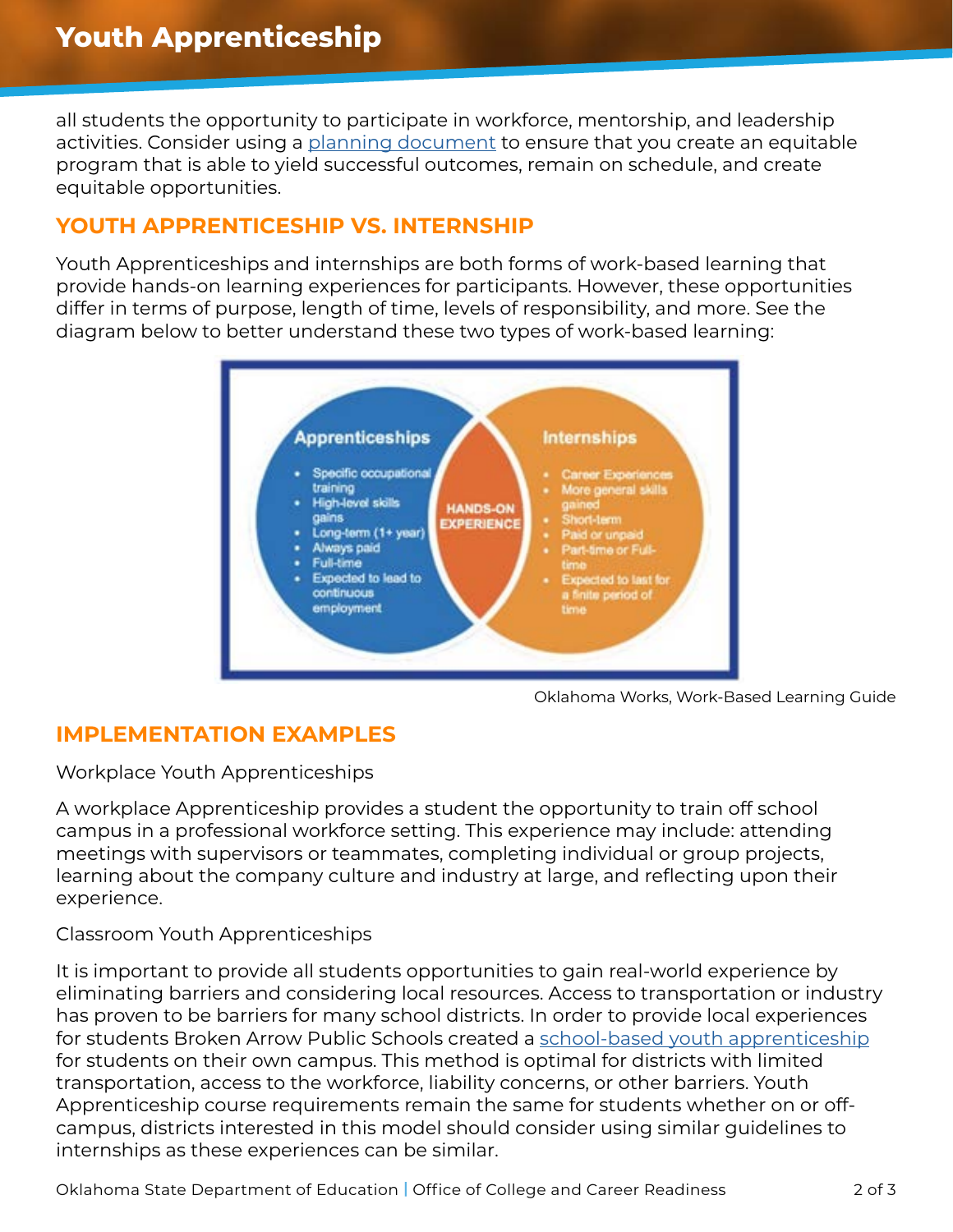all students the opportunity to participate in workforce, mentorship, and leadership activities. Consider using a [planning document](https://www.okedge.com/wp-content/uploads/2021/10/Industry-Engagement-Action-Planner-Fillable-Form47.pdf) to ensure that you create an equitable program that is able to yield successful outcomes, remain on schedule, and create equitable opportunities.

#### **YOUTH APPRENTICESHIP VS. INTERNSHIP**

Youth Apprenticeships and internships are both forms of work-based learning that provide hands-on learning experiences for participants. However, these opportunities differ in terms of purpose, length of time, levels of responsibility, and more. See the diagram below to better understand these two types of work-based learning:



Oklahoma Works, Work-Based Learning Guide

## **IMPLEMENTATION EXAMPLES**

Workplace Youth Apprenticeships

A workplace Apprenticeship provides a student the opportunity to train off school campus in a professional workforce setting. This experience may include: attending meetings with supervisors or teammates, completing individual or group projects, learning about the company culture and industry at large, and reflecting upon their experience.

#### Classroom Youth Apprenticeships

It is important to provide all students opportunities to gain real-world experience by eliminating barriers and considering local resources. Access to transportation or industry has proven to be barriers for many school districts. In order to provide local experiences for students Broken Arrow Public Schools created a [school-based youth apprenticeship](https://www.youtube.com/watch?v=8Xd6gjUGBok&feature=youtu.be) for students on their own campus. This method is optimal for districts with limited transportation, access to the workforce, liability concerns, or other barriers. Youth Apprenticeship course requirements remain the same for students whether on or offcampus, districts interested in this model should consider using similar guidelines to internships as these experiences can be similar.